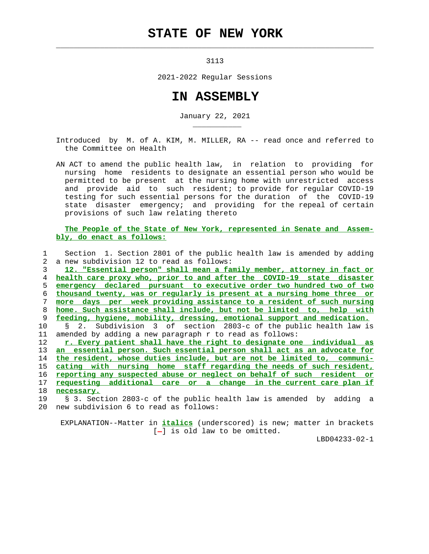## **STATE OF NEW YORK**

3113

 $\mathcal{L}_\text{max} = \frac{1}{2} \sum_{i=1}^{n} \frac{1}{2} \sum_{i=1}^{n} \frac{1}{2} \sum_{i=1}^{n} \frac{1}{2} \sum_{i=1}^{n} \frac{1}{2} \sum_{i=1}^{n} \frac{1}{2} \sum_{i=1}^{n} \frac{1}{2} \sum_{i=1}^{n} \frac{1}{2} \sum_{i=1}^{n} \frac{1}{2} \sum_{i=1}^{n} \frac{1}{2} \sum_{i=1}^{n} \frac{1}{2} \sum_{i=1}^{n} \frac{1}{2} \sum_{i=1}^{n} \frac{1$ 

2021-2022 Regular Sessions

## **IN ASSEMBLY**

January 22, 2021

 Introduced by M. of A. KIM, M. MILLER, RA -- read once and referred to the Committee on Health

 AN ACT to amend the public health law, in relation to providing for nursing home residents to designate an essential person who would be permitted to be present at the nursing home with unrestricted access and provide aid to such resident; to provide for regular COVID-19 testing for such essential persons for the duration of the COVID-19 state disaster emergency; and providing for the repeal of certain provisions of such law relating thereto

 **The People of the State of New York, represented in Senate and Assem bly, do enact as follows:**

 1 Section 1. Section 2801 of the public health law is amended by adding 2 a new subdivision 12 to read as follows: **12. "Essential person" shall mean a family member, attorney in fact or health care proxy who, prior to and after the COVID-19 state disaster emergency declared pursuant to executive order two hundred two of two thousand twenty, was or regularly is present at a nursing home three or more days per week providing assistance to a resident of such nursing home. Such assistance shall include, but not be limited to, help with feeding, hygiene, mobility, dressing, emotional support and medication.** 10 § 2. Subdivision 3 of section 2803-c of the public health law is 11 amended by adding a new paragraph r to read as follows: **r. Every patient shall have the right to designate one individual as an essential person. Such essential person shall act as an advocate for the resident, whose duties include, but are not be limited to, communi- cating with nursing home staff regarding the needs of such resident, reporting any suspected abuse or neglect on behalf of such resident or requesting additional care or a change in the current care plan if necessary.** 19 § 3. Section 2803-c of the public health law is amended by adding a

20 new subdivision 6 to read as follows:

\_\_\_\_\_\_\_\_\_\_\_

 EXPLANATION--Matter in **italics** (underscored) is new; matter in brackets  $[-]$  is old law to be omitted.

LBD04233-02-1